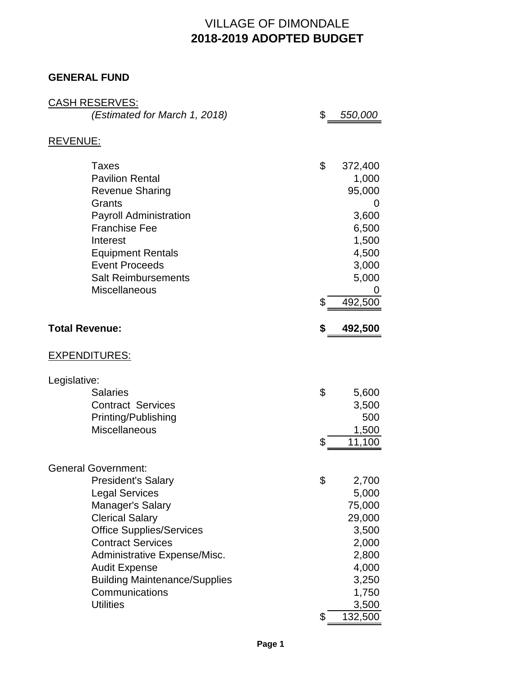# VILLAGE OF DIMONDALE **2018-2019 ADOPTED BUDGET**

#### **GENERAL FUND**

|                       | <b>CASH RESERVES:</b>                                  |                |
|-----------------------|--------------------------------------------------------|----------------|
|                       | (Estimated for March 1, 2018)                          | \$<br>550,000  |
| REVENUE:              |                                                        |                |
|                       | <b>Taxes</b>                                           | \$<br>372,400  |
|                       | <b>Pavilion Rental</b>                                 | 1,000          |
|                       | <b>Revenue Sharing</b>                                 | 95,000         |
|                       | Grants                                                 | 0              |
|                       | <b>Payroll Administration</b>                          | 3,600          |
|                       | <b>Franchise Fee</b>                                   | 6,500          |
|                       | Interest                                               | 1,500          |
|                       | <b>Equipment Rentals</b>                               | 4,500          |
|                       | <b>Event Proceeds</b>                                  | 3,000          |
|                       | <b>Salt Reimbursements</b>                             | 5,000          |
|                       | Miscellaneous                                          | \$<br>492,500  |
|                       |                                                        |                |
| <b>Total Revenue:</b> |                                                        | \$<br>492,500  |
|                       | <b>EXPENDITURES:</b>                                   |                |
| Legislative:          |                                                        |                |
|                       | <b>Salaries</b>                                        | \$<br>5,600    |
|                       | <b>Contract Services</b>                               | 3,500          |
|                       | Printing/Publishing                                    | 500            |
|                       | <b>Miscellaneous</b>                                   | 1,500          |
|                       |                                                        | \$<br>11,100   |
|                       | <b>General Government:</b>                             |                |
|                       | <b>President's Salary</b>                              | \$<br>2,700    |
|                       | <b>Legal Services</b>                                  | 5,000          |
|                       | Manager's Salary                                       | 75,000         |
|                       | <b>Clerical Salary</b>                                 | 29,000         |
|                       | <b>Office Supplies/Services</b>                        | 3,500          |
|                       | <b>Contract Services</b>                               | 2,000          |
|                       | Administrative Expense/Misc.                           | 2,800          |
|                       | <b>Audit Expense</b>                                   | 4,000          |
|                       | <b>Building Maintenance/Supplies</b><br>Communications | 3,250<br>1,750 |
|                       | <b>Utilities</b>                                       | 3,500          |
|                       |                                                        | \$<br>132,500  |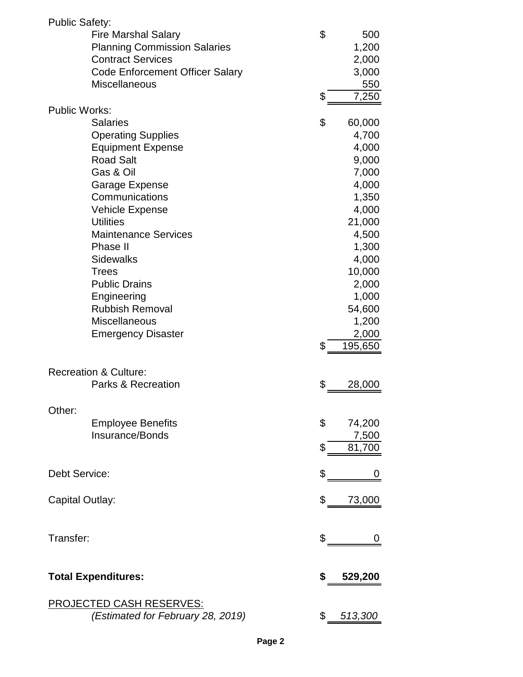| <b>Public Safety:</b> |                                        |               |
|-----------------------|----------------------------------------|---------------|
|                       | <b>Fire Marshal Salary</b>             | \$<br>500     |
|                       | <b>Planning Commission Salaries</b>    | 1,200         |
|                       | <b>Contract Services</b>               | 2,000         |
|                       | <b>Code Enforcement Officer Salary</b> | 3,000         |
|                       | <b>Miscellaneous</b>                   | 550           |
|                       |                                        | \$<br>7,250   |
| <b>Public Works:</b>  |                                        |               |
|                       | <b>Salaries</b>                        | \$<br>60,000  |
|                       | <b>Operating Supplies</b>              | 4,700         |
|                       | <b>Equipment Expense</b>               | 4,000         |
|                       | <b>Road Salt</b>                       | 9,000         |
|                       | Gas & Oil                              | 7,000         |
|                       | Garage Expense                         | 4,000         |
|                       | Communications                         |               |
|                       |                                        | 1,350         |
|                       | <b>Vehicle Expense</b>                 | 4,000         |
|                       | <b>Utilities</b>                       | 21,000        |
|                       | <b>Maintenance Services</b>            | 4,500         |
|                       | Phase II                               | 1,300         |
|                       | <b>Sidewalks</b>                       | 4,000         |
|                       | <b>Trees</b>                           | 10,000        |
|                       | <b>Public Drains</b>                   | 2,000         |
|                       | Engineering                            | 1,000         |
|                       | <b>Rubbish Removal</b>                 | 54,600        |
|                       | <b>Miscellaneous</b>                   | 1,200         |
|                       | <b>Emergency Disaster</b>              | 2,000         |
|                       |                                        | \$<br>195,650 |
|                       |                                        |               |
|                       | <b>Recreation &amp; Culture:</b>       |               |
|                       | Parks & Recreation                     | \$<br>28,000  |
|                       |                                        |               |
| Other:                |                                        |               |
|                       | <b>Employee Benefits</b>               | \$<br>74,200  |
|                       | Insurance/Bonds                        | 7,500         |
|                       |                                        | \$<br>81,700  |
|                       |                                        |               |
| <b>Debt Service:</b>  |                                        | \$<br>Ü       |
|                       |                                        |               |
| Capital Outlay:       |                                        | \$<br>73,000  |
|                       |                                        |               |
|                       |                                        |               |
| Transfer:             |                                        | \$            |
|                       |                                        |               |
|                       |                                        |               |
|                       | <b>Total Expenditures:</b>             | \$<br>529,200 |
|                       |                                        |               |
|                       | <b>PROJECTED CASH RESERVES:</b>        |               |
|                       | (Estimated for February 28, 2019)      | \$ 513,300    |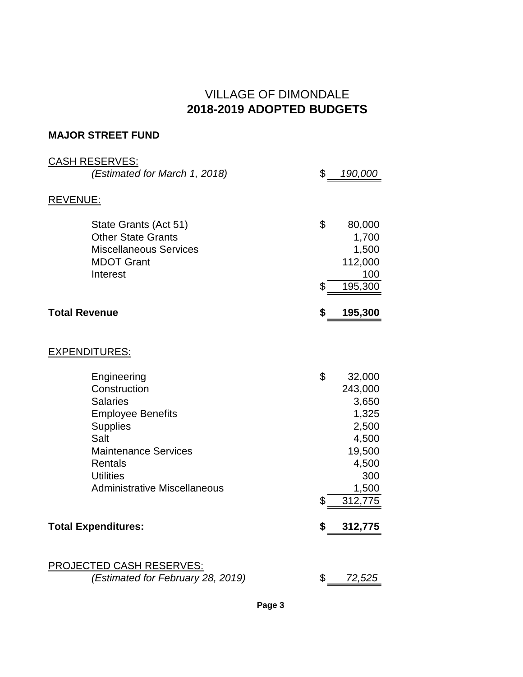### VILLAGE OF DIMONDALE **2018-2019 ADOPTED BUDGETS**

#### **MAJOR STREET FUND**

| <b>CASH RESERVES:</b>                                                                                                                                                                                             |               |                                                                                                     |
|-------------------------------------------------------------------------------------------------------------------------------------------------------------------------------------------------------------------|---------------|-----------------------------------------------------------------------------------------------------|
| (Estimated for March 1, 2018)                                                                                                                                                                                     | $\mathfrak s$ | 190,000                                                                                             |
| <b>REVENUE:</b>                                                                                                                                                                                                   |               |                                                                                                     |
| State Grants (Act 51)<br><b>Other State Grants</b><br><b>Miscellaneous Services</b><br><b>MDOT Grant</b><br>Interest                                                                                              | \$<br>\$      | 80,000<br>1,700<br>1,500<br>112,000<br>100<br>195,300                                               |
| <b>Total Revenue</b>                                                                                                                                                                                              | \$            | 195,300                                                                                             |
|                                                                                                                                                                                                                   |               |                                                                                                     |
| <b>EXPENDITURES:</b>                                                                                                                                                                                              |               |                                                                                                     |
| Engineering<br>Construction<br><b>Salaries</b><br><b>Employee Benefits</b><br><b>Supplies</b><br>Salt<br><b>Maintenance Services</b><br><b>Rentals</b><br><b>Utilities</b><br><b>Administrative Miscellaneous</b> | \$<br>\$      | 32,000<br>243,000<br>3,650<br>1,325<br>2,500<br>4,500<br>19,500<br>4,500<br>300<br>1,500<br>312,775 |
| <b>Total Expenditures:</b>                                                                                                                                                                                        | \$            | 312,775                                                                                             |
|                                                                                                                                                                                                                   |               |                                                                                                     |
| <b>PROJECTED CASH RESERVES:</b><br>(Estimated for February 28, 2019)                                                                                                                                              | \$            | 72,525                                                                                              |

**Page 3**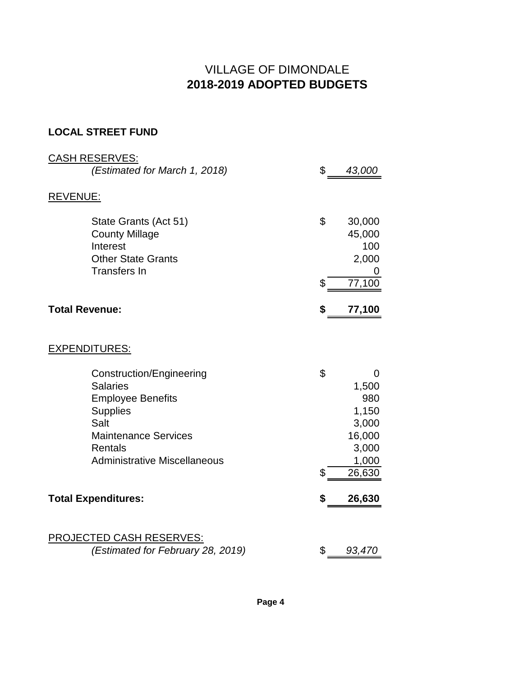# VILLAGE OF DIMONDALE **2018-2019 ADOPTED BUDGETS**

### **LOCAL STREET FUND**

| <b>CASH RESERVES:</b>                                                                                                                                                                             |          |                                                                                  |
|---------------------------------------------------------------------------------------------------------------------------------------------------------------------------------------------------|----------|----------------------------------------------------------------------------------|
| (Estimated for March 1, 2018)                                                                                                                                                                     | \$       | 43,000                                                                           |
| <b>REVENUE:</b>                                                                                                                                                                                   |          |                                                                                  |
| State Grants (Act 51)<br><b>County Millage</b><br>Interest<br><b>Other State Grants</b><br><b>Transfers In</b>                                                                                    | \$       | 30,000<br>45,000<br>100<br>2,000<br>0                                            |
|                                                                                                                                                                                                   | \$       | 77,100                                                                           |
| <b>Total Revenue:</b>                                                                                                                                                                             | \$       | 77,100                                                                           |
| <b>EXPENDITURES:</b>                                                                                                                                                                              |          |                                                                                  |
| <b>Construction/Engineering</b><br><b>Salaries</b><br><b>Employee Benefits</b><br><b>Supplies</b><br>Salt<br><b>Maintenance Services</b><br><b>Rentals</b><br><b>Administrative Miscellaneous</b> | \$<br>\$ | $\Omega$<br>1,500<br>980<br>1,150<br>3,000<br>16,000<br>3,000<br>1,000<br>26,630 |
| <b>Total Expenditures:</b>                                                                                                                                                                        | \$       | 26,630                                                                           |
| PROJECTED CASH RESERVES:<br>(Estimated for February 28, 2019)                                                                                                                                     | \$       | 93,470                                                                           |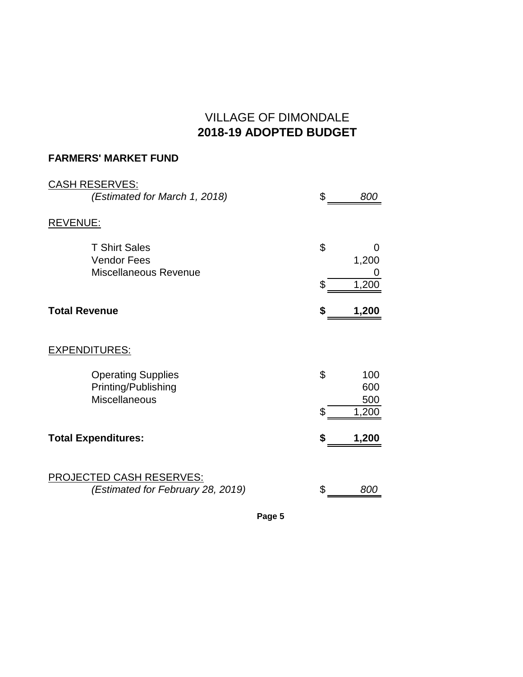# VILLAGE OF DIMONDALE **2018-19 ADOPTED BUDGET**

### **FARMERS' MARKET FUND**

| <b>CASH RESERVES:</b><br>(Estimated for March 1, 2018)                   | \$<br>800               |
|--------------------------------------------------------------------------|-------------------------|
| <b>REVENUE:</b>                                                          |                         |
| <b>T Shirt Sales</b><br><b>Vendor Fees</b><br>Miscellaneous Revenue      | \$<br>0<br>1,200        |
|                                                                          | \$<br>1,200             |
| <b>Total Revenue</b>                                                     | 1,200                   |
| <b>EXPENDITURES:</b>                                                     |                         |
| <b>Operating Supplies</b><br>Printing/Publishing<br><b>Miscellaneous</b> | \$<br>100<br>600<br>500 |
|                                                                          | \$<br>1,200             |
| <b>Total Expenditures:</b>                                               | \$<br>1,200             |
| <b>PROJECTED CASH RESERVES:</b><br>(Estimated for February 28, 2019)     | 800                     |

**Page 5**